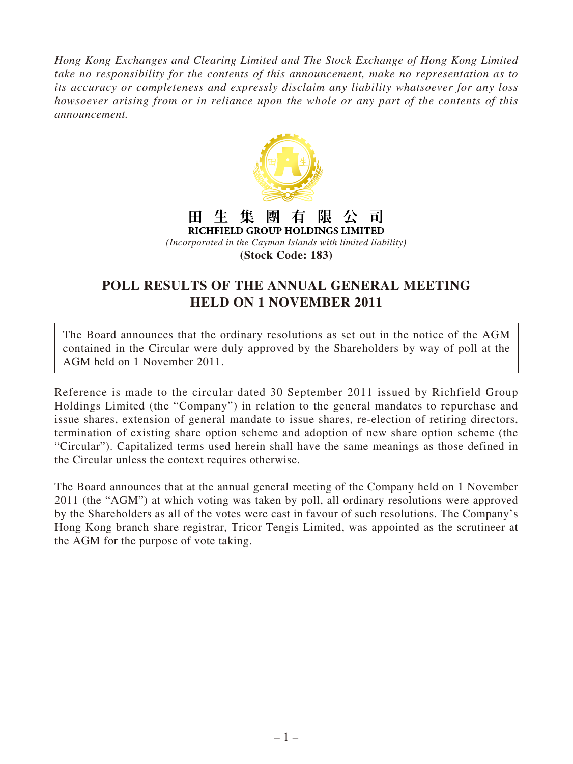*Hong Kong Exchanges and Clearing Limited and The Stock Exchange of Hong Kong Limited take no responsibility for the contents of this announcement, make no representation as to its accuracy or completeness and expressly disclaim any liability whatsoever for any loss howsoever arising from or in reliance upon the whole or any part of the contents of this announcement.*



## 團 有 田生 集 阻 司

RICHFIELD GROUP HOLDINGS LIMITED *(Incorporated in the Cayman Islands with limited liability)* **(Stock Code: 183)**

## **POLL RESULTS OF THE ANNUAL GENERAL MEETING HELD ON 1 NOVEMBER 2011**

The Board announces that the ordinary resolutions as set out in the notice of the AGM contained in the Circular were duly approved by the Shareholders by way of poll at the AGM held on 1 November 2011.

Reference is made to the circular dated 30 September 2011 issued by Richfield Group Holdings Limited (the "Company") in relation to the general mandates to repurchase and issue shares, extension of general mandate to issue shares, re-election of retiring directors, termination of existing share option scheme and adoption of new share option scheme (the "Circular"). Capitalized terms used herein shall have the same meanings as those defined in the Circular unless the context requires otherwise.

The Board announces that at the annual general meeting of the Company held on 1 November 2011 (the "AGM") at which voting was taken by poll, all ordinary resolutions were approved by the Shareholders as all of the votes were cast in favour of such resolutions. The Company's Hong Kong branch share registrar, Tricor Tengis Limited, was appointed as the scrutineer at the AGM for the purpose of vote taking.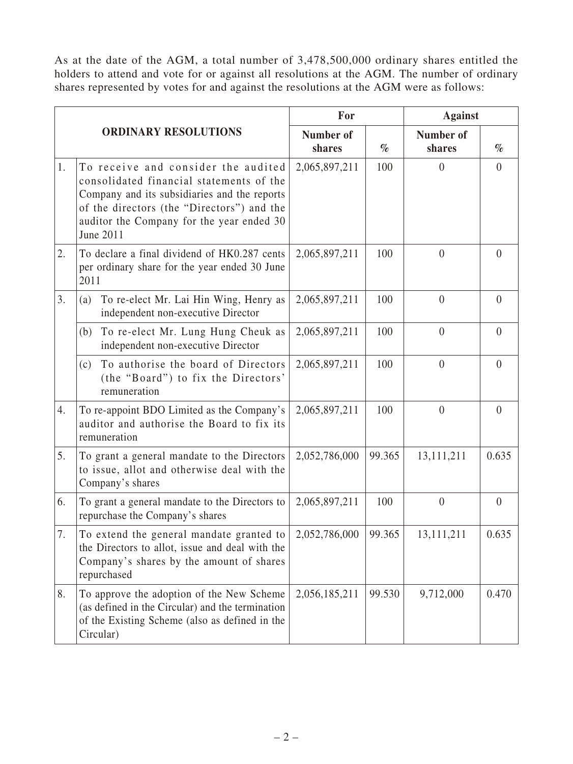As at the date of the AGM, a total number of 3,478,500,000 ordinary shares entitled the holders to attend and vote for or against all resolutions at the AGM. The number of ordinary shares represented by votes for and against the resolutions at the AGM were as follows:

| <b>ORDINARY RESOLUTIONS</b> |                                                                                                                                                                                                                                         | For                 |        | <b>Against</b>      |                |
|-----------------------------|-----------------------------------------------------------------------------------------------------------------------------------------------------------------------------------------------------------------------------------------|---------------------|--------|---------------------|----------------|
|                             |                                                                                                                                                                                                                                         | Number of<br>shares | $\%$   | Number of<br>shares | $\%$           |
| 1.                          | To receive and consider the audited<br>consolidated financial statements of the<br>Company and its subsidiaries and the reports<br>of the directors (the "Directors") and the<br>auditor the Company for the year ended 30<br>June 2011 | 2,065,897,211       | 100    | $\theta$            | $\overline{0}$ |
| 2.                          | To declare a final dividend of HK0.287 cents<br>per ordinary share for the year ended 30 June<br>2011                                                                                                                                   | 2,065,897,211       | 100    | $\theta$            | $\theta$       |
| 3.                          | To re-elect Mr. Lai Hin Wing, Henry as<br>(a)<br>independent non-executive Director                                                                                                                                                     | 2,065,897,211       | 100    | $\theta$            | $\theta$       |
|                             | To re-elect Mr. Lung Hung Cheuk as<br>(b)<br>independent non-executive Director                                                                                                                                                         | 2,065,897,211       | 100    | $\overline{0}$      | $\overline{0}$ |
|                             | To authorise the board of Directors<br>(c)<br>(the "Board") to fix the Directors'<br>remuneration                                                                                                                                       | 2,065,897,211       | 100    | $\overline{0}$      | $\overline{0}$ |
| 4.                          | To re-appoint BDO Limited as the Company's<br>auditor and authorise the Board to fix its<br>remuneration                                                                                                                                | 2,065,897,211       | 100    | $\overline{0}$      | $\overline{0}$ |
| 5.                          | To grant a general mandate to the Directors<br>to issue, allot and otherwise deal with the<br>Company's shares                                                                                                                          | 2,052,786,000       | 99.365 | 13,111,211          | 0.635          |
| 6.                          | To grant a general mandate to the Directors to<br>repurchase the Company's shares                                                                                                                                                       | 2,065,897,211       | 100    | $\overline{0}$      | $\theta$       |
| 7.                          | To extend the general mandate granted to<br>the Directors to allot, issue and deal with the<br>Company's shares by the amount of shares<br>repurchased                                                                                  | 2,052,786,000       | 99.365 | 13, 111, 211        | 0.635          |
| 8.                          | To approve the adoption of the New Scheme<br>(as defined in the Circular) and the termination<br>of the Existing Scheme (also as defined in the<br>Circular)                                                                            | 2,056,185,211       | 99.530 | 9,712,000           | 0.470          |